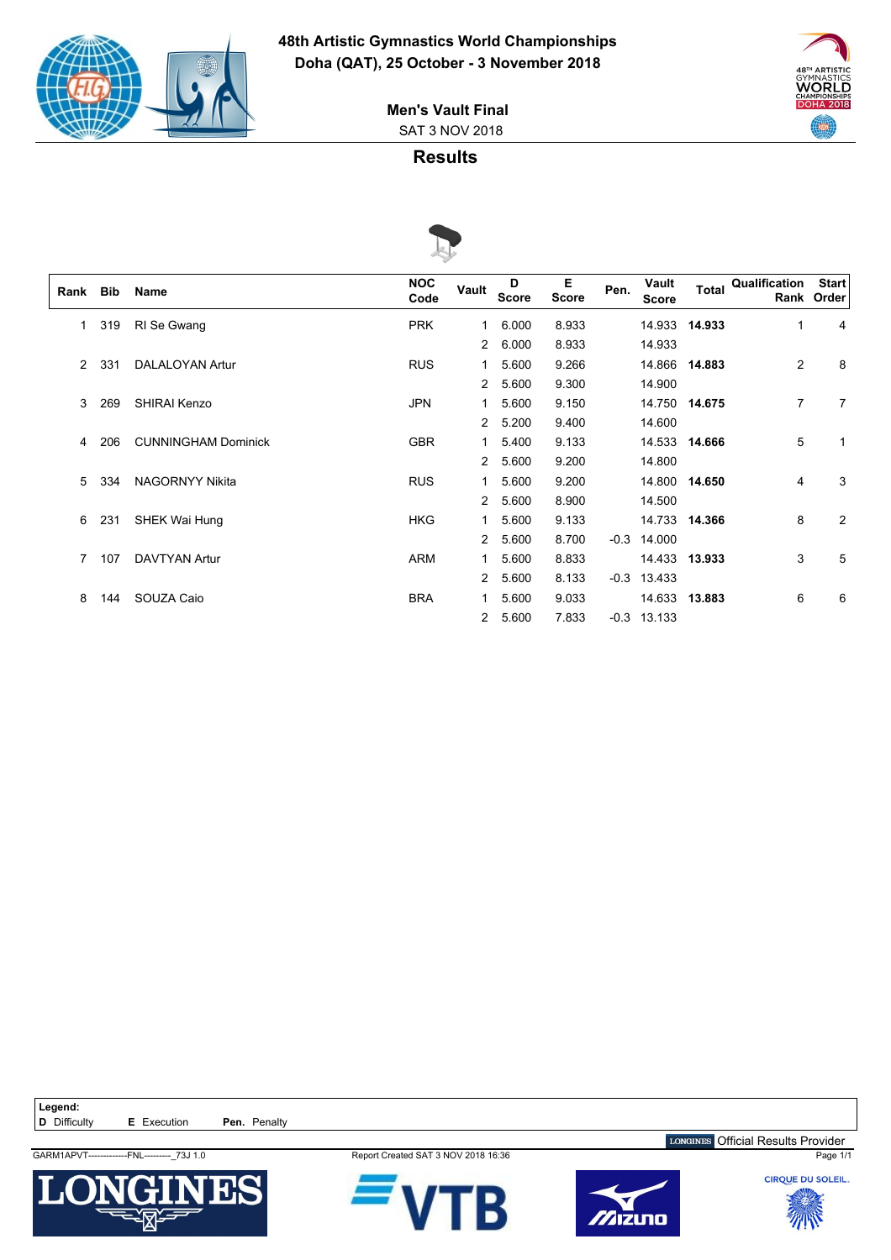



 SAT 3 NOV 2018 **Men's Vault Final**

### **Results**



|      |     |                            | $\sim$             |       |                   |                   |        |                       |               |                            |                            |
|------|-----|----------------------------|--------------------|-------|-------------------|-------------------|--------|-----------------------|---------------|----------------------------|----------------------------|
| Rank | Bib | <b>Name</b>                | <b>NOC</b><br>Code | Vault | D<br><b>Score</b> | Е<br><b>Score</b> | Pen.   | Vault<br><b>Score</b> |               | <b>Total Qualification</b> | <b>Start</b><br>Rank Order |
| 1    | 319 | RI Se Gwang                | <b>PRK</b>         | 1     | 6.000             | 8.933             |        | 14.933                | 14.933        | $\mathbf{1}$               | 4                          |
|      |     |                            |                    | 2     | 6.000             | 8.933             |        | 14.933                |               |                            |                            |
| 2    | 331 | <b>DALALOYAN Artur</b>     | <b>RUS</b>         | 1     | 5.600             | 9.266             |        |                       | 14.866 14.883 | 2                          | 8                          |
|      |     |                            |                    | 2     | 5.600             | 9.300             |        | 14.900                |               |                            |                            |
| 3    | 269 | SHIRAI Kenzo               | <b>JPN</b>         | 1     | 5.600             | 9.150             |        |                       | 14.750 14.675 | 7                          | 7                          |
|      |     |                            |                    | 2     | 5.200             | 9.400             |        | 14.600                |               |                            |                            |
| 4    | 206 | <b>CUNNINGHAM Dominick</b> | <b>GBR</b>         | 1     | 5.400             | 9.133             |        |                       | 14.533 14.666 | 5                          |                            |
|      |     |                            |                    | 2     | 5.600             | 9.200             |        | 14.800                |               |                            |                            |
| 5    | 334 | <b>NAGORNYY Nikita</b>     | <b>RUS</b>         | 1     | 5.600             | 9.200             |        |                       | 14.800 14.650 | 4                          | 3                          |
|      |     |                            |                    | 2     | 5.600             | 8.900             |        | 14.500                |               |                            |                            |
| 6    | 231 | SHEK Wai Hung              | <b>HKG</b>         | 1     | 5.600             | 9.133             |        |                       | 14.733 14.366 | 8                          | $\overline{2}$             |
|      |     |                            |                    | 2     | 5.600             | 8.700             | $-0.3$ | 14.000                |               |                            |                            |
|      | 107 | <b>DAVTYAN Artur</b>       | <b>ARM</b>         | 1     | 5.600             | 8.833             |        |                       | 14.433 13.933 | 3                          | 5                          |
|      |     |                            |                    | 2     | 5.600             | 8.133             | $-0.3$ | 13.433                |               |                            |                            |
| 8    | 144 | SOUZA Caio                 | <b>BRA</b>         | 1.    | 5.600             | 9.033             |        |                       | 14.633 13.883 | 6                          | 6                          |
|      |     |                            |                    | 2     | 5.600             | 7.833             |        | $-0.3$ 13.133         |               |                            |                            |

Legend:<br>**D** Difficulty **E** Execution **Pen.** Penalty GARM1APVT-------------FNL---------\_73J 1.0 Report Created SAT 3 NOV 2018 16:36 Page 1/1 LONGINES Official Results Provider









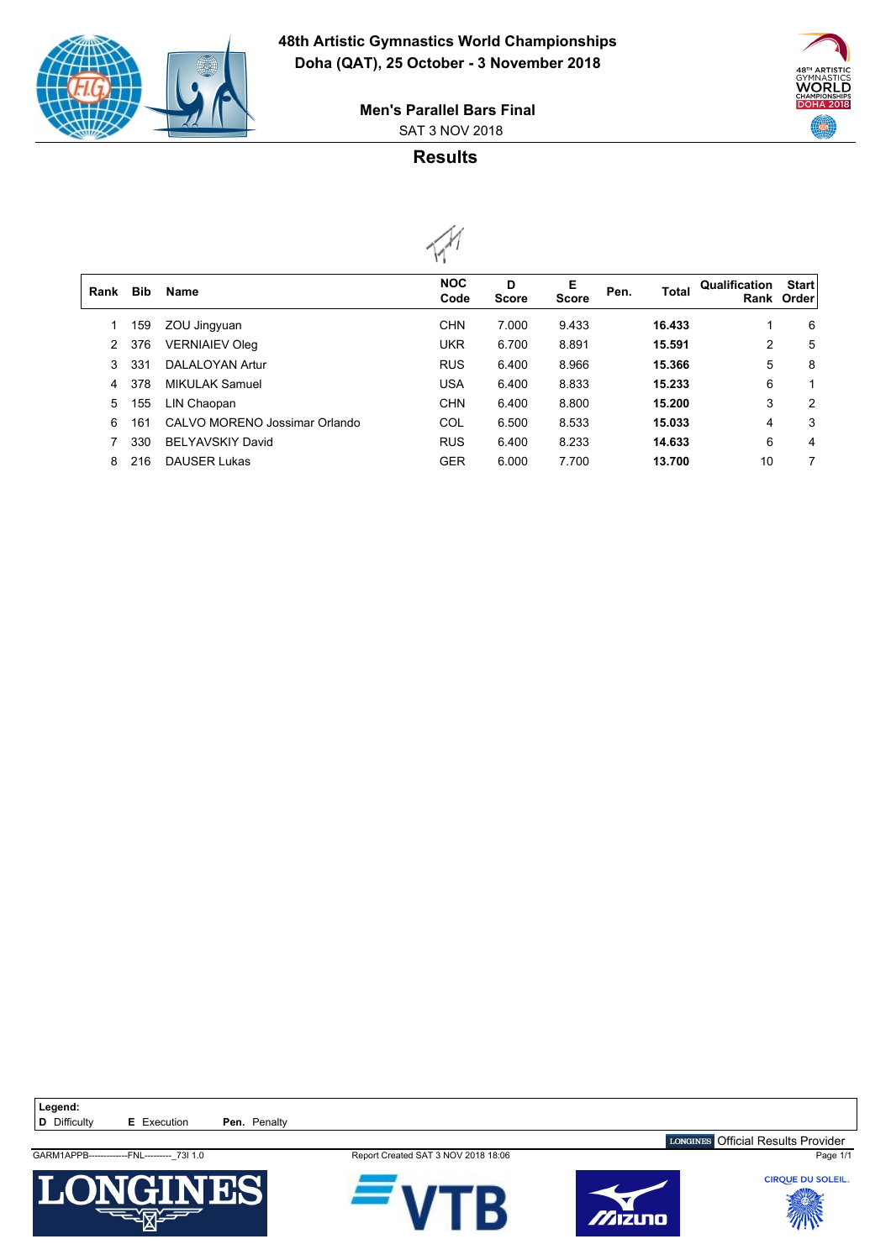

 $\sqrt{2}$ 



 SAT 3 NOV 2018 **Men's Parallel Bars Final**

# **Results**



| Rank | <b>Bib</b> | <b>Name</b>                   | <b>NOC</b><br>Code | D<br><b>Score</b> | Е<br><b>Score</b> | Pen. | Total  | Qualification | <b>Start</b><br>Rank Order |
|------|------------|-------------------------------|--------------------|-------------------|-------------------|------|--------|---------------|----------------------------|
|      | 159        | ZOU Jingyuan                  | <b>CHN</b>         | 7.000             | 9.433             |      | 16.433 | 1             | 6                          |
| 2    | 376        | <b>VERNIAIEV Oleg</b>         | <b>UKR</b>         | 6.700             | 8.891             |      | 15.591 | 2             | 5                          |
| 3    | 331        | <b>DALALOYAN Artur</b>        | <b>RUS</b>         | 6.400             | 8.966             |      | 15.366 | 5             | 8                          |
| 4    | 378        | <b>MIKULAK Samuel</b>         | <b>USA</b>         | 6.400             | 8.833             |      | 15.233 | 6             |                            |
| 5    | 155        | LIN Chaopan                   | <b>CHN</b>         | 6.400             | 8.800             |      | 15.200 | 3             | 2                          |
| 6    | 161        | CALVO MORENO Jossimar Orlando | COL                | 6.500             | 8.533             |      | 15.033 | 4             | 3                          |
|      | 330        | <b>BELYAVSKIY David</b>       | <b>RUS</b>         | 6.400             | 8.233             |      | 14.633 | 6             | 4                          |
| 8    | 216        | <b>DAUSER Lukas</b>           | <b>GER</b>         | 6.000             | 7.700             |      | 13.700 | 10            | 7                          |
|      |            |                               |                    |                   |                   |      |        |               |                            |



GARM1APPB-------------FNL---------\_73I 1.0 Report Created SAT 3 NOV 2018 18:06 Page 1/1





LONGINES Official Results Provider

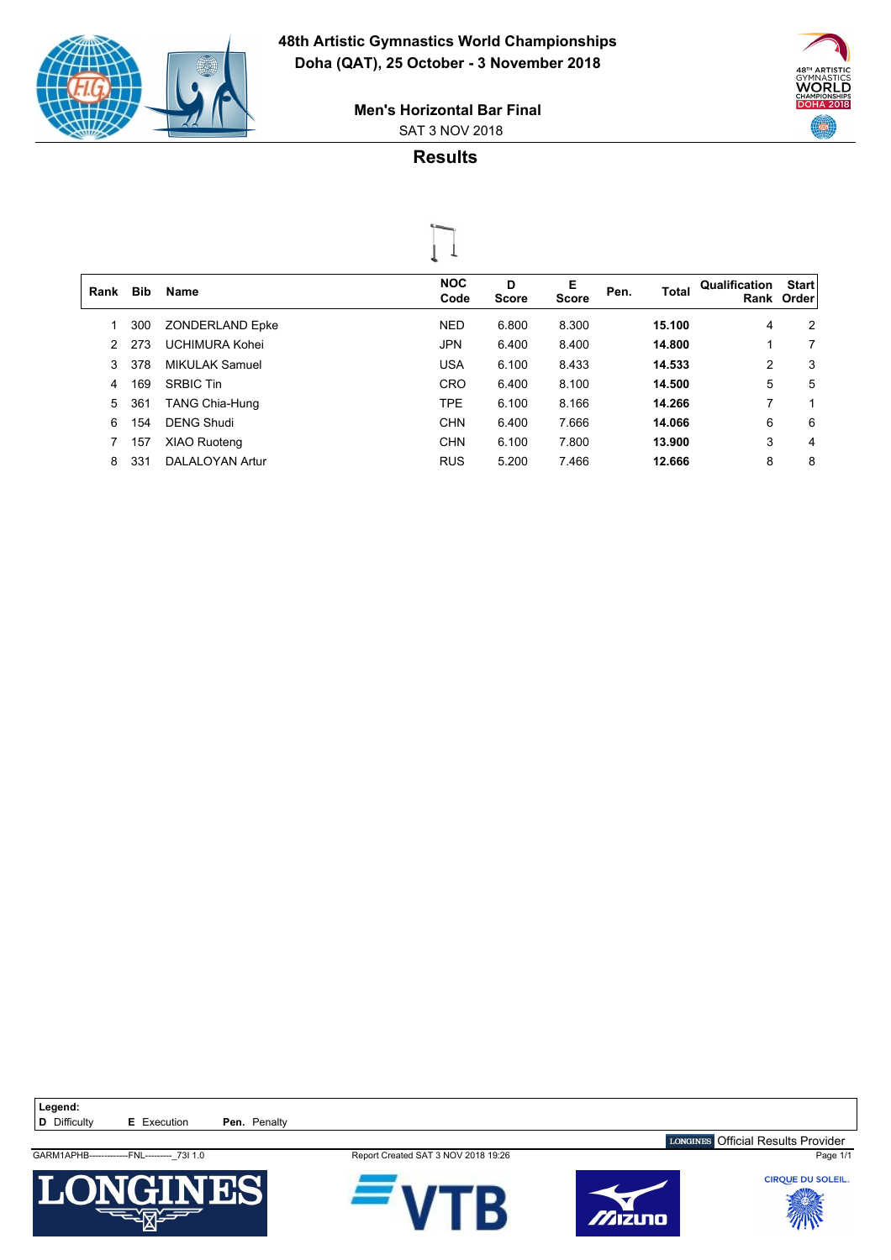

 $\sqrt{2}$ 



 SAT 3 NOV 2018 **Men's Horizontal Bar Final**

# **Results**



| Rank | <b>Bib</b> | <b>Name</b>            | <b>NOC</b><br>Code | D<br><b>Score</b> | Е<br><b>Score</b> | Pen. | <b>Total</b> | Qualification | <b>Start</b><br>Rank Order |
|------|------------|------------------------|--------------------|-------------------|-------------------|------|--------------|---------------|----------------------------|
|      | 300        | <b>ZONDERLAND Epke</b> | <b>NED</b>         | 6.800             | 8.300             |      | 15.100       | 4             | 2                          |
| 2    | 273        | <b>UCHIMURA Kohei</b>  | <b>JPN</b>         | 6.400             | 8.400             |      | 14.800       | 1             | 7                          |
| 3    | 378        | <b>MIKULAK Samuel</b>  | <b>USA</b>         | 6.100             | 8.433             |      | 14.533       | 2             | 3                          |
| 4    | 169        | <b>SRBIC Tin</b>       | <b>CRO</b>         | 6.400             | 8.100             |      | 14.500       | 5             | 5                          |
| 5    | 361        | <b>TANG Chia-Hung</b>  | <b>TPE</b>         | 6.100             | 8.166             |      | 14.266       | 7             | 1                          |
| 6    | 154        | <b>DENG Shudi</b>      | <b>CHN</b>         | 6.400             | 7.666             |      | 14.066       | 6             | 6                          |
|      | 157        | XIAO Ruoteng           | <b>CHN</b>         | 6.100             | 7.800             |      | 13.900       | 3             | 4                          |
| 8    | 331        | <b>DALALOYAN Artur</b> | <b>RUS</b>         | 5.200             | 7.466             |      | 12.666       | 8             | 8                          |
|      |            |                        |                    |                   |                   |      |              |               |                            |

Legend:<br>**D** Difficulty **E** Execution **Pen.** Penalty



GARM1APHB-------------FNL---------\_73I 1.0 Report Created SAT 3 NOV 2018 19:26 Page 1/1





LONGINES Official Results Provider

CIRQUE DU SOLEIL.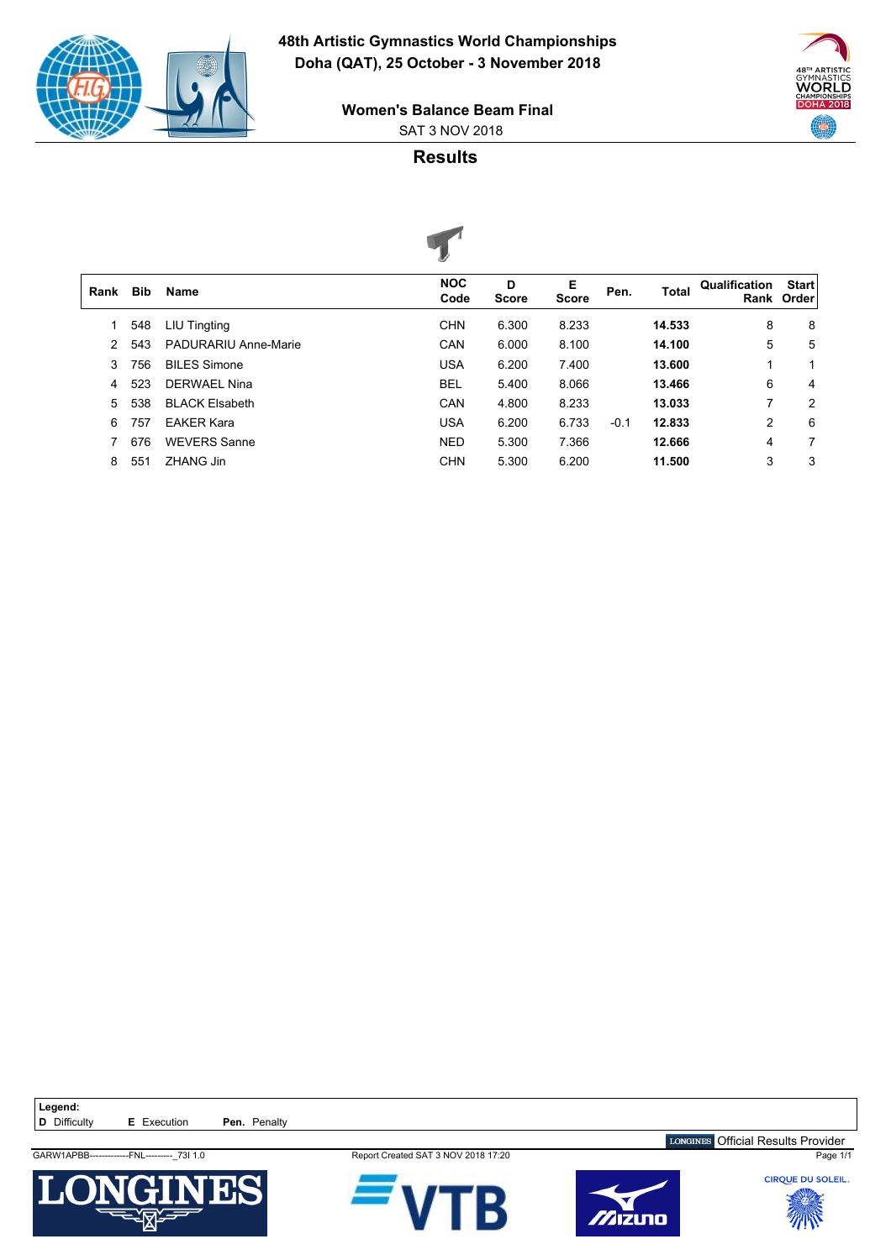

 $\sqrt{2}$ 



 SAT 3 NOV 2018 **Women's Balance Beam Final**

## **Results**



|      |            |                             | $\sim$             |                   |                   |        |              |               |                            |
|------|------------|-----------------------------|--------------------|-------------------|-------------------|--------|--------------|---------------|----------------------------|
| Rank | <b>Bib</b> | <b>Name</b>                 | <b>NOC</b><br>Code | D<br><b>Score</b> | Е<br><b>Score</b> | Pen.   | <b>Total</b> | Qualification | <b>Start</b><br>Rank Order |
|      | 548        | LIU Tingting                | <b>CHN</b>         | 6.300             | 8.233             |        | 14.533       | 8             | 8                          |
| 2    | 543        | <b>PADURARIU Anne-Marie</b> | CAN                | 6.000             | 8.100             |        | 14.100       | 5             | 5                          |
| 3    | 756        | <b>BILES Simone</b>         | <b>USA</b>         | 6.200             | 7.400             |        | 13.600       | 1             |                            |
| 4    | 523        | <b>DERWAEL Nina</b>         | <b>BEL</b>         | 5.400             | 8.066             |        | 13.466       | 6             | 4                          |
| 5    | 538        | <b>BLACK Elsabeth</b>       | CAN                | 4.800             | 8.233             |        | 13.033       | 7             | 2                          |
| 6    | 757        | <b>EAKER Kara</b>           | <b>USA</b>         | 6.200             | 6.733             | $-0.1$ | 12.833       | 2             | 6                          |
|      | 676        | <b>WEVERS Sanne</b>         | <b>NED</b>         | 5.300             | 7.366             |        | 12.666       | 4             | 7                          |
| 8    | 551        | ZHANG Jin                   | <b>CHN</b>         | 5.300             | 6.200             |        | 11.500       | 3             | 3                          |
|      |            |                             |                    |                   |                   |        |              |               |                            |

Legend:<br>**D** Difficulty **E** Execution **Pen.** Penalty

GARW1APBB-------------FNL---------\_73I 1.0 Report Created SAT 3 NOV 2018 17:20 Page 1/1









LONGINES Official Results Provider